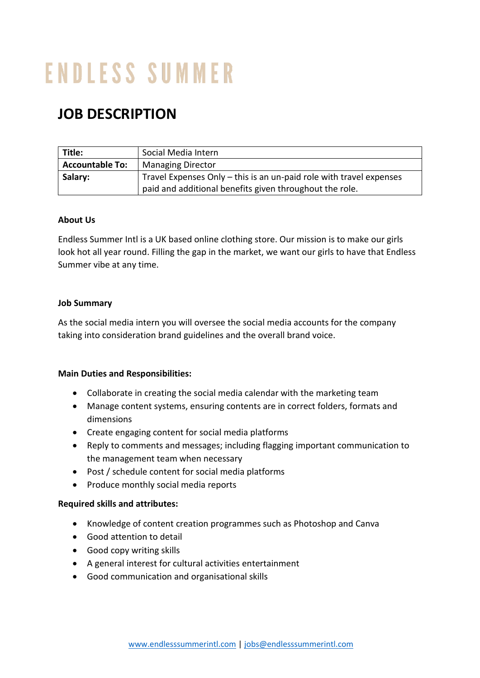# **ENDLESS SUMMER**

# **JOB DESCRIPTION**

| Title:                 | Social Media Intern                                                 |
|------------------------|---------------------------------------------------------------------|
| <b>Accountable To:</b> | <b>Managing Director</b>                                            |
| Salary:                | Travel Expenses Only - this is an un-paid role with travel expenses |
|                        | paid and additional benefits given throughout the role.             |

## **About Us**

Endless Summer Intl is a UK based online clothing store. Our mission is to make our girls look hot all year round. Filling the gap in the market, we want our girls to have that Endless Summer vibe at any time.

#### **Job Summary**

As the social media intern you will oversee the social media accounts for the company taking into consideration brand guidelines and the overall brand voice.

#### **Main Duties and Responsibilities:**

- Collaborate in creating the social media calendar with the marketing team
- Manage content systems, ensuring contents are in correct folders, formats and dimensions
- Create engaging content for social media platforms
- Reply to comments and messages; including flagging important communication to the management team when necessary
- Post / schedule content for social media platforms
- Produce monthly social media reports

#### **Required skills and attributes:**

- Knowledge of content creation programmes such as Photoshop and Canva
- Good attention to detail
- Good copy writing skills
- A general interest for cultural activities entertainment
- Good communication and organisational skills